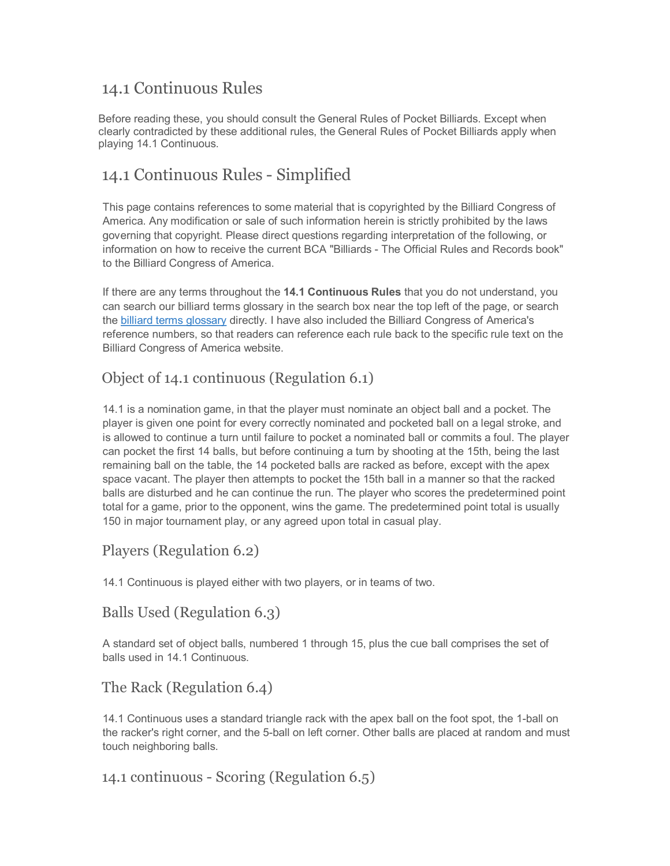## 14.1 Continuous Rules

Before reading these, you should consult the General Rules of Pocket Billiards. Except when clearly contradicted by these additional rules, the [General](http://www.billiardsforum.info/pool-rules/general-rules-of-pocket-billiards.asp) Rules of Pocket Billiards apply when playing 14.1 Continuous.

## 14.1 Continuous Rules - Simplified

This page contains references to some material that is copyrighted by the Billiard Congress of America. Any modification or sale of such information herein is strictly prohibited by the laws governing that copyright. Please direct questions regarding interpretation of the following, or information on how to receive the current BCA "Billiards - The Official Rules and Records book" to the Billiard Congress of America.

If there are any terms throughout the **14.1 Continuous Rules** that you do not understand, you can search our billiard terms glossary in the search box near the top left of the page, or search the billiard terms [glossary](http://www.billiardsforum.info/billiard-terms.asp) directly. I have also included the Billiard Congress of America's reference numbers, so that readers can reference each rule back to the specific rule text on the Billiard Congress of America website.

### Object of 14.1 continuous (Regulation 6.1)

14.1 is a nomination game, in that the player must nominate an object ball and a pocket. The player is given one point for every correctly nominated and pocketed ball on a legal stroke, and is allowed to continue a turn until failure to pocket a nominated ball or commits a foul. The player can pocket the first 14 balls, but before continuing a turn by shooting at the 15th, being the last remaining ball on the table, the 14 pocketed balls are racked as before, except with the apex space vacant. The player then attempts to pocket the 15th ball in a manner so that the racked balls are disturbed and he can continue the run. The player who scores the predetermined point total for a game, prior to the opponent, wins the game. The predetermined point total is usually 150 in major tournament play, or any agreed upon total in casual play.

#### Players (Regulation 6.2)

14.1 Continuous is played either with two players, or in teams of two.

#### Balls Used (Regulation 6.3)

A standard set of object balls, numbered 1 through 15, plus the cue ball comprises the set of balls used in 14.1 Continuous.

#### The Rack (Regulation 6.4)

14.1 Continuous uses a standard triangle rack with the apex ball on the foot spot, the 1-ball on the racker's right corner, and the 5-ball on left corner. Other balls are placed at random and must touch neighboring balls.

#### 14.1 continuous - Scoring (Regulation 6.5)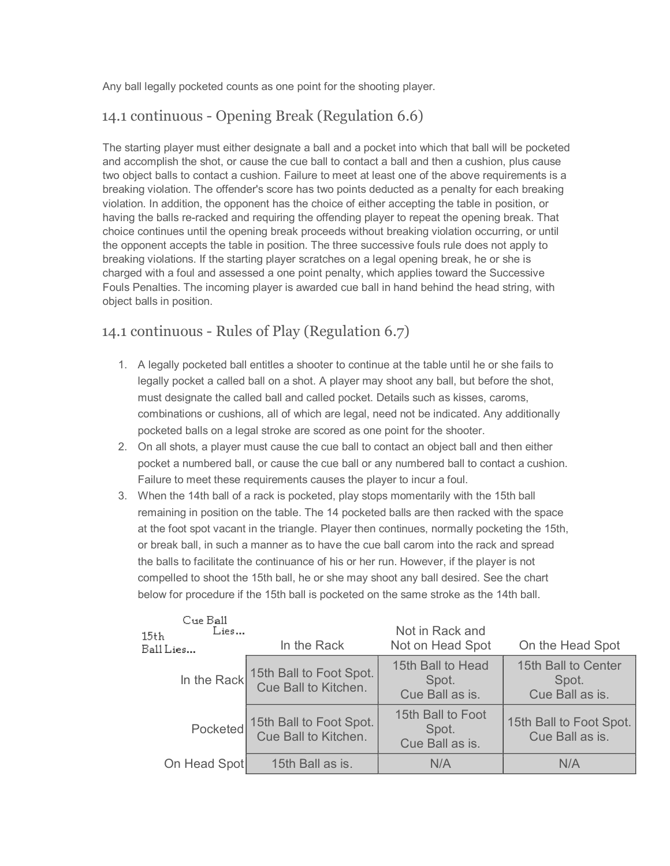Any ball legally pocketed counts as one point for the shooting player.

## 14.1 continuous - Opening Break (Regulation 6.6)

The starting player must either designate a ball and a pocket into which that ball will be pocketed and accomplish the shot, or cause the cue ball to contact a ball and then a cushion, plus cause two object balls to contact a cushion. Failure to meet at least one of the above requirements is a breaking violation. The offender's score has two points deducted as a penalty for each breaking violation. In addition, the opponent has the choice of either accepting the table in position, or having the balls re-racked and requiring the offending player to repeat the opening break. That choice continues until the opening break proceeds without breaking violation occurring, or until the opponent accepts the table in position. The three successive fouls rule does not apply to breaking violations. If the starting player scratches on a legal opening break, he or she is charged with a foul and assessed a one point penalty, which applies toward the Successive Fouls Penalties. The incoming player is awarded cue ball in hand behind the head string, with object balls in position.

#### 14.1 continuous - Rules of Play (Regulation 6.7)

- 1. A legally pocketed ball entitles a shooter to continue at the table until he or she fails to legally pocket a called ball on a shot. A player may shoot any ball, but before the shot, must designate the called ball and called pocket. Details such as kisses, caroms, combinations or cushions, all of which are legal, need not be indicated. Any additionally pocketed balls on a legal stroke are scored as one point for the shooter.
- 2. On all shots, a player must cause the cue ball to contact an object ball and then either pocket a numbered ball, or cause the cue ball or any numbered ball to contact a cushion. Failure to meet these requirements causes the player to incur a foul.
- 3. When the 14th ball of a rack is pocketed, play stops momentarily with the 15th ball remaining in position on the table. The 14 pocketed balls are then racked with the space at the foot spot vacant in the triangle. Player then continues, normally pocketing the 15th, or break ball, in such a manner as to have the cue ball carom into the rack and spread the balls to facilitate the continuance of his or her run. However, if the player is not compelled to shoot the 15th ball, he or she may shoot any ball desired. See the chart below for procedure if the 15th ball is pocketed on the same stroke as the 14th ball.

| Cue Ball<br>Lies<br>15th<br>Ball Lies | In the Rack                                                 | Not in Rack and<br>Not on Head Spot           | On the Head Spot                                |
|---------------------------------------|-------------------------------------------------------------|-----------------------------------------------|-------------------------------------------------|
|                                       | In the Rack 15th Ball to Foot Spot.<br>Cue Ball to Kitchen. | 15th Ball to Head<br>Spot.<br>Cue Ball as is. | 15th Ball to Center<br>Spot.<br>Cue Ball as is. |
|                                       | Pocketed 15th Ball to Foot Spot.<br>Cue Ball to Kitchen.    | 15th Ball to Foot<br>Spot.<br>Cue Ball as is. | 15th Ball to Foot Spot.<br>Cue Ball as is.      |
| On Head Spot                          | 15th Ball as is.                                            | N/A                                           | N/A                                             |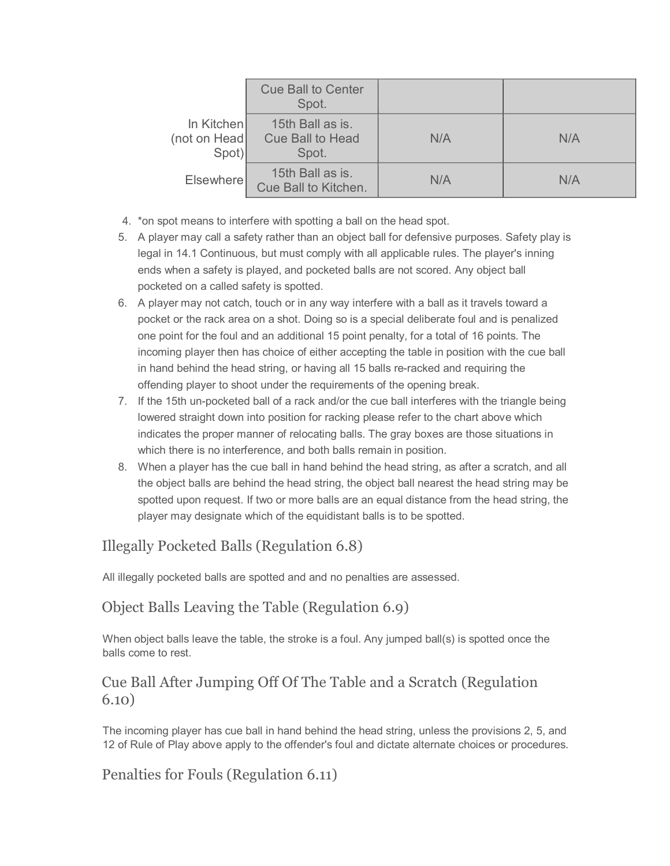|                                     | <b>Cue Ball to Center</b><br>Spot.            |     |     |
|-------------------------------------|-----------------------------------------------|-----|-----|
| In Kitchen<br>(not on Head<br>Spot) | 15th Ball as is.<br>Cue Ball to Head<br>Spot. | N/A | N/A |
| <b>Elsewhere</b>                    | 15th Ball as is.<br>Cue Ball to Kitchen.      | N/A | N/A |

- 4. \*on spot means to interfere with spotting a ball on the head spot.
- 5. A player may call a safety rather than an object ball for defensive purposes. Safety play is legal in 14.1 Continuous, but must comply with all applicable rules. The player's inning ends when a safety is played, and pocketed balls are not scored. Any object ball pocketed on a called safety is spotted.
- 6. A player may not catch, touch or in any way interfere with a ball as it travels toward a pocket or the rack area on a shot. Doing so is a special deliberate foul and is penalized one point for the foul and an additional 15 point penalty, for a total of 16 points. The incoming player then has choice of either accepting the table in position with the cue ball in hand behind the head string, or having all 15 balls re-racked and requiring the offending player to shoot under the requirements of the opening break.
- 7. If the 15th un-pocketed ball of a rack and/or the cue ball interferes with the triangle being lowered straight down into position for racking please refer to the chart above which indicates the proper manner of relocating balls. The gray boxes are those situations in which there is no interference, and both balls remain in position.
- 8. When a player has the cue ball in hand behind the head string, as after a scratch, and all the object balls are behind the head string, the object ball nearest the head string may be spotted upon request. If two or more balls are an equal distance from the head string, the player may designate which of the equidistant balls is to be spotted.

# Illegally Pocketed Balls (Regulation 6.8)

All illegally pocketed balls are spotted and and no penalties are assessed.

### Object Balls Leaving the Table (Regulation 6.9)

When object balls leave the table, the stroke is a foul. Any jumped ball(s) is spotted once the balls come to rest.

#### Cue Ball After Jumping Off Of The Table and a Scratch (Regulation 6.10)

The incoming player has cue ball in hand behind the head string, unless the provisions 2, 5, and 12 of Rule of Play above apply to the offender's foul and dictate alternate choices or procedures.

### Penalties for Fouls (Regulation 6.11)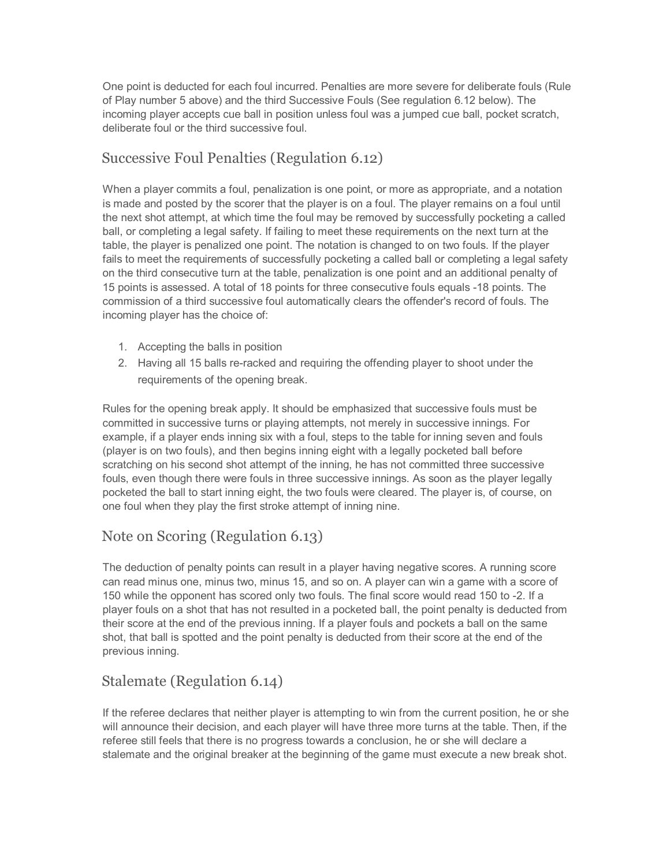One point is deducted for each foul incurred. Penalties are more severe for deliberate fouls (Rule of Play number 5 above) and the third Successive Fouls (See regulation 6.12 below). The incoming player accepts cue ball in position unless foul was a jumped cue ball, pocket scratch, deliberate foul or the third successive foul.

### Successive Foul Penalties (Regulation 6.12)

When a player commits a foul, penalization is one point, or more as appropriate, and a notation is made and posted by the scorer that the player is on a foul. The player remains on a foul until the next shot attempt, at which time the foul may be removed by successfully pocketing a called ball, or completing a legal safety. If failing to meet these requirements on the next turn at the table, the player is penalized one point. The notation is changed to on two fouls. If the player fails to meet the requirements of successfully pocketing a called ball or completing a legal safety on the third consecutive turn at the table, penalization is one point and an additional penalty of 15 points is assessed. A total of 18 points for three consecutive fouls equals 18 points. The commission of a third successive foul automatically clears the offender's record of fouls. The incoming player has the choice of:

- 1. Accepting the balls in position
- 2. Having all 15 balls re-racked and requiring the offending player to shoot under the requirements of the opening break.

Rules for the opening break apply. It should be emphasized that successive fouls must be committed in successive turns or playing attempts, not merely in successive innings. For example, if a player ends inning six with a foul, steps to the table for inning seven and fouls (player is on two fouls), and then begins inning eight with a legally pocketed ball before scratching on his second shot attempt of the inning, he has not committed three successive fouls, even though there were fouls in three successive innings. As soon as the player legally pocketed the ball to start inning eight, the two fouls were cleared. The player is, of course, on one foul when they play the first stroke attempt of inning nine.

## Note on Scoring (Regulation 6.13)

The deduction of penalty points can result in a player having negative scores. A running score can read minus one, minus two, minus 15, and so on. A player can win a game with a score of 150 while the opponent has scored only two fouls. The final score would read 150 to -2. If a player fouls on a shot that has not resulted in a pocketed ball, the point penalty is deducted from their score at the end of the previous inning. If a player fouls and pockets a ball on the same shot, that ball is spotted and the point penalty is deducted from their score at the end of the previous inning.

## Stalemate (Regulation 6.14)

If the referee declares that neither player is attempting to win from the current position, he or she will announce their decision, and each player will have three more turns at the table. Then, if the referee still feels that there is no progress towards a conclusion, he or she will declare a stalemate and the original breaker at the beginning of the game must execute a new break shot.